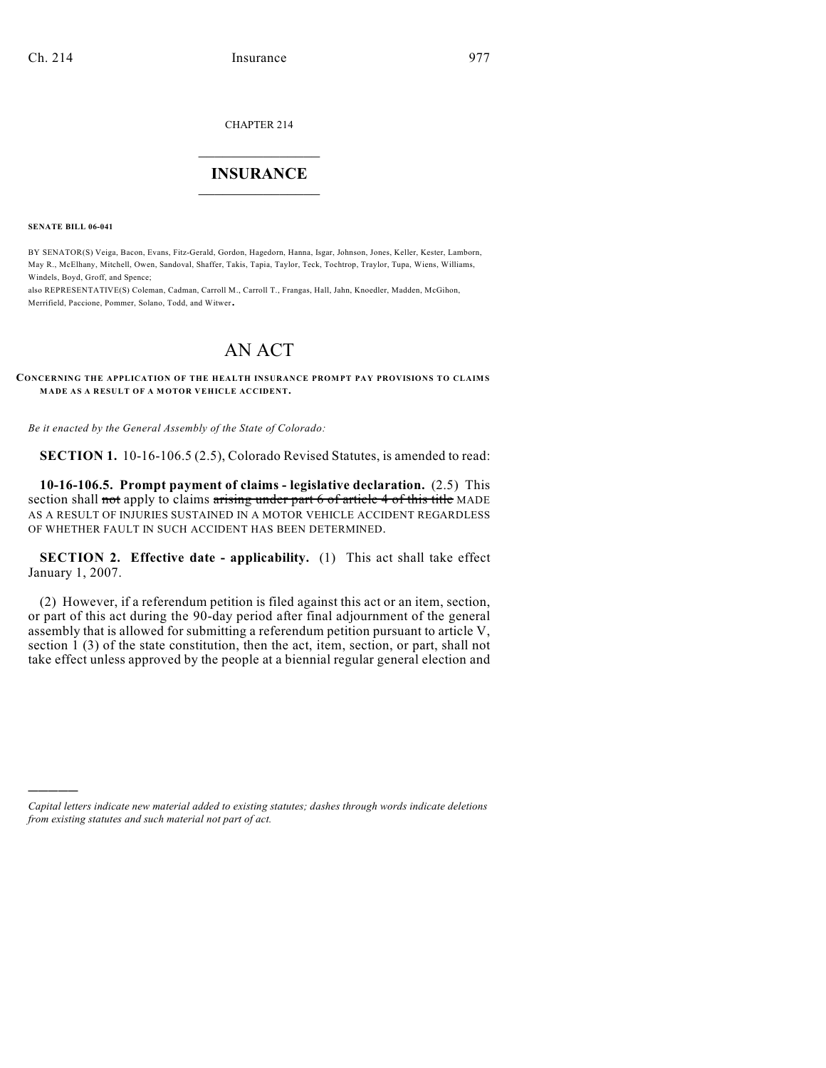CHAPTER 214

## $\mathcal{L}_\text{max}$  . The set of the set of the set of the set of the set of the set of the set of the set of the set of the set of the set of the set of the set of the set of the set of the set of the set of the set of the set **INSURANCE**  $\frac{1}{2}$  ,  $\frac{1}{2}$  ,  $\frac{1}{2}$  ,  $\frac{1}{2}$  ,  $\frac{1}{2}$  ,  $\frac{1}{2}$  ,  $\frac{1}{2}$

**SENATE BILL 06-041**

)))))

BY SENATOR(S) Veiga, Bacon, Evans, Fitz-Gerald, Gordon, Hagedorn, Hanna, Isgar, Johnson, Jones, Keller, Kester, Lamborn, May R., McElhany, Mitchell, Owen, Sandoval, Shaffer, Takis, Tapia, Taylor, Teck, Tochtrop, Traylor, Tupa, Wiens, Williams, Windels, Boyd, Groff, and Spence;

also REPRESENTATIVE(S) Coleman, Cadman, Carroll M., Carroll T., Frangas, Hall, Jahn, Knoedler, Madden, McGihon, Merrifield, Paccione, Pommer, Solano, Todd, and Witwer.

## AN ACT

**CONCERNING THE APPLICATION OF THE HEALTH INSURANCE PROMPT PAY PROVISIONS TO CLAIMS MADE AS A RESULT OF A MOTOR VEHICLE ACCIDENT.**

*Be it enacted by the General Assembly of the State of Colorado:*

**SECTION 1.** 10-16-106.5 (2.5), Colorado Revised Statutes, is amended to read:

**10-16-106.5. Prompt payment of claims - legislative declaration.** (2.5) This section shall not apply to claims arising under part 6 of article 4 of this title MADE AS A RESULT OF INJURIES SUSTAINED IN A MOTOR VEHICLE ACCIDENT REGARDLESS OF WHETHER FAULT IN SUCH ACCIDENT HAS BEEN DETERMINED.

**SECTION 2. Effective date - applicability.** (1) This act shall take effect January 1, 2007.

(2) However, if a referendum petition is filed against this act or an item, section, or part of this act during the 90-day period after final adjournment of the general assembly that is allowed for submitting a referendum petition pursuant to article V, section 1 (3) of the state constitution, then the act, item, section, or part, shall not take effect unless approved by the people at a biennial regular general election and

*Capital letters indicate new material added to existing statutes; dashes through words indicate deletions from existing statutes and such material not part of act.*